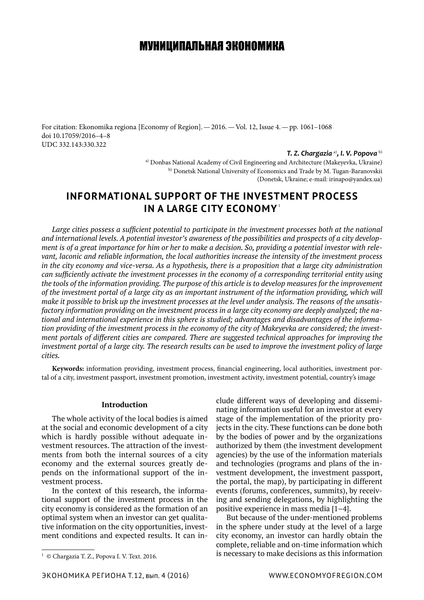# МУНИЦИПАЛЬНАЯ ЭКОНОМИКА

For citation: Ekonomika regiona [Economy of Region].—2016.—Vol. 12, Issue 4.—pp. 1061–1068 doi 10.17059/2016–4–8 UDC 332.143:330.322

#### *T. Z. Chargazia* a)*, I. V. Popova* b)

a) Donbas National Academy of Civil Engineering and Architecture (Makeyevka, Ukraine) b) Donetsk National University of Economics and Trade by M. Tugan-Baranovskii (Donetsk, Ukraine; e-mail: irinapo@yandex.ua)

# **INFORMATIONAL SUPPORT OF THE INVESTMENT PROCESS IN A LARGE CITY ECONOMY**<sup>1</sup>

*Large cities possess a sufficient potential to participate in the investment processes both at the national and international levels. A potential investor's awareness of the possibilities and prospects of a city development is of a great importance for him or her to make a decision. So, providing a potential investor with relevant, laconic and reliable information, the local authorities increase the intensity of the investment process in the city economy and vice-versa. As a hypothesis, there is a proposition that a large city administration can sufficiently activate the investment processes in the economy of a corresponding territorial entity using the tools of the information providing. The purpose of this article is to develop measures for the improvement of the investment portal of a large city as an important instrument of the information providing, which will make it possible to brisk up the investment processes at the level under analysis. The reasons of the unsatisfactory information providing on the investment process in a large city economy are deeply analyzed; the national and international experience in this sphere is studied; advantages and disadvantages of the information providing of the investment process in the economy of the city of Makeyevka are considered; the investment portals of different cities are compared. There are suggested technical approaches for improving the investment portal of a large city. The research results can be used to improve the investment policy of large cities.* 

**Keywords:** information providing, investment process, financial engineering, local authorities, investment portal of a city, investment passport, investment promotion, investment activity, investment potential, country's image

## **Introduction**

The whole activity of the local bodies is aimed at the social and economic development of a city which is hardly possible without adequate investment resources. The attraction of the investments from both the internal sources of a city economy and the external sources greatly depends on the informational support of the investment process.

In the context of this research, the informational support of the investment process in the city economy is considered as the formation of an optimal system when an investor can get qualitative information on the city opportunities, investment conditions and expected results. It can in-

clude different ways of developing and disseminating information useful for an investor at every stage of the implementation of the priority projects in the city. These functions can be done both by the bodies of power and by the organizations authorized by them (the investment development agencies) by the use of the information materials and technologies (programs and plans of the investment development, the investment passport, the portal, the map), by participating in different events (forums, conferences, summits), by receiving and sending delegations, by highlighting the positive experience in mass media [1–4].

But because of the under-mentioned problems in the sphere under study at the level of a large city economy, an investor can hardly obtain the complete, reliable and on-time information which is necessary to make decisions as this information

<sup>&</sup>lt;sup>1</sup> © Chargazia T. Z., Popova I. V. Text. 2016.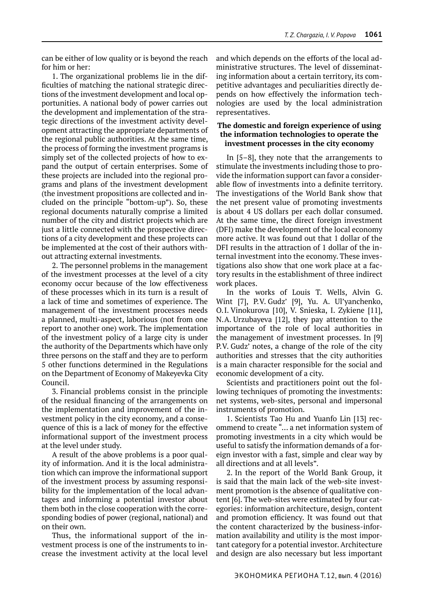can be either of low quality or is beyond the reach for him or her:

1. The organizational problems lie in the difficulties of matching the national strategic directions of the investment development and local opportunities. A national body of power carries out the development and implementation of the strategic directions of the investment activity development attracting the appropriate departments of the regional public authorities. At the same time, the process of forming the investment programs is simply set of the collected projects of how to expand the output of certain enterprises. Some of these projects are included into the regional programs and plans of the investment development (the investment propositions are collected and included on the principle "bottom-up"). So, these regional documents naturally comprise a limited number of the city and district projects which are just a little connected with the prospective directions of a city development and these projects can be implemented at the cost of their authors without attracting external investments.

2. The personnel problems in the management of the investment processes at the level of a city economy occur because of the low effectiveness of these processes which in its turn is a result of a lack of time and sometimes of experience. The management of the investment processes needs a planned, multi-aspect, laborious (not from one report to another one) work. The implementation of the investment policy of a large city is under the authority of the Departments which have only three persons on the staff and they are to perform 5 other functions determined in the Regulations on the Department of Economy of Makeyevka City Council.

3. Financial problems consist in the principle of the residual financing of the arrangements on the implementation and improvement of the investment policy in the city economy, and a consequence of this is a lack of money for the effective informational support of the investment process at the level under study.

A result of the above problems is a poor quality of information. And it is the local administration which can improve the informational support of the investment process by assuming responsibility for the implementation of the local advantages and informing a potential investor about them both in the close cooperation with the corresponding bodies of power (regional, national) and on their own.

Thus, the informational support of the investment process is one of the instruments to increase the investment activity at the local level and which depends on the efforts of the local administrative structures. The level of disseminating information about a certain territory, its competitive advantages and peculiarities directly depends on how effectively the information technologies are used by the local administration representatives.

## **The domestic and foreign experience of using the information technologies to operate the investment processes in the city economy**

In [5–8], they note that the arrangements to stimulate the investments including those to provide the information support can favor a considerable flow of investments into a definite territory. The investigations of the World Bank show that the net present value of promoting investments is about 4 US dollars per each dollar consumed. At the same time, the direct foreign investment (DFI) make the development of the local economy more active. It was found out that 1 dollar of the DFI results in the attraction of 1 dollar of the internal investment into the economy. These investigations also show that one work place at a factory results in the establishment of three indirect work places.

In the works of Louis T. Wells, Alvin G. Wint [7], P.V. Gudz' [9], Yu. A. Ul'yanchenko, O.I. Vinokurova [10], V. Snieska, I. Zykiene [11], N.A. Urzubayeva [12], they pay attention to the importance of the role of local authorities in the management of investment processes. In [9] P.V. Gudz' notes, a change of the role of the city authorities and stresses that the city authorities is a main character responsible for the social and economic development of a city.

Scientists and practitioners point out the following techniques of promoting the investments: net systems, web-sites, personal and impersonal instruments of promotion.

1. Scientists Tao Hu and Yuanfo Lin [13] recommend to create "… a net information system of promoting investments in a city which would be useful to satisfy the information demands of a foreign investor with a fast, simple and clear way by all directions and at all levels".

2. In the report of the World Bank Group, it is said that the main lack of the web-site investment promotion is the absence of qualitative content [6]. The web-sites were estimated by four categories: information architecture, design, content and promotion efficiency. It was found out that the content characterized by the business-information availability and utility is the most important category for a potential investor. Architecture and design are also necessary but less important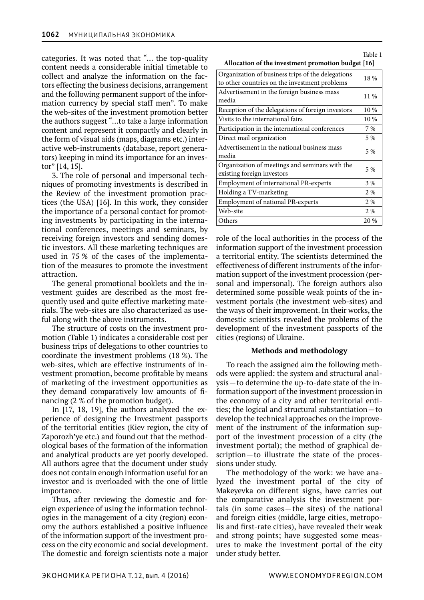categories. It was noted that "… the top-quality content needs a considerable initial timetable to collect and analyze the information on the factors effecting the business decisions, arrangement and the following permanent support of the information currency by special staff men". To make the web-sites of the investment promotion better the authors suggest "…to take a large information content and represent it compactly and clearly in the form of visual aids (maps, diagrams etc.) interactive web-instruments (database, report generators) keeping in mind its importance for an investor" [14, 15].

3. The role of personal and impersonal techniques of promoting investments is described in the Review of the investment promotion practices (the USA) [16]. In this work, they consider the importance of a personal contact for promoting investments by participating in the international conferences, meetings and seminars, by receiving foreign investors and sending domestic investors. All these marketing techniques are used in 75 % of the cases of the implementation of the measures to promote the investment attraction.

The general promotional booklets and the investment guides are described as the most frequently used and quite effective marketing materials. The web-sites are also characterized as useful along with the above instruments.

The structure of costs on the investment promotion (Table 1) indicates a considerable cost per business trips of delegations to other countries to coordinate the investment problems (18 %). The web-sites, which are effective instruments of investment promotion, become profitable by means of marketing of the investment opportunities as they demand comparatively low amounts of financing (2 % of the promotion budget).

In [17, 18, 19], the authors analyzed the experience of designing the Investment passports of the territorial entities (Kiev region, the city of Zaporozh'ye etc.) and found out that the methodological bases of the formation of the information and analytical products are yet poorly developed. All authors agree that the document under study does not contain enough information useful for an investor and is overloaded with the one of little importance.

Thus, after reviewing the domestic and foreign experience of using the information technologies in the management of a city (region) economy the authors established a positive influence of the information support of the investment process on the city economic and social development. The domestic and foreign scientists note a major

|                                                    | Table 1 |
|----------------------------------------------------|---------|
| Allocation of the investment promotion budget [16] |         |

| 18 %  |
|-------|
| 11 %  |
| 10 %  |
| 10 %  |
| 7 %   |
| 5 %   |
| 5 %   |
| 5 %   |
| $3\%$ |
| 2 %   |
| 2 %   |
| 2 %   |
| 20 %  |
|       |

role of the local authorities in the process of the information support of the investment procession a territorial entity. The scientists determined the effectiveness of different instruments of the information support of the investment procession (personal and impersonal). The foreign authors also determined some possible weak points of the investment portals (the investment web-sites) and the ways of their improvement. In their works, the domestic scientists revealed the problems of the development of the investment passports of the cities (regions) of Ukraine.

### **Methods and methodology**

To reach the assigned aim the following methods were applied: the system and structural analysis—to determine the up-to-date state of the information support of the investment procession in the economy of a city and other territorial entities; the logical and structural substantiation—to develop the technical approaches on the improvement of the instrument of the information support of the investment procession of a city (the investment portal); the method of graphical description—to illustrate the state of the processions under study.

The methodology of the work: we have analyzed the investment portal of the city of Makeyevka on different signs, have carries out the comparative analysis the investment portals (in some cases—the sites) of the national and foreign cities (middle, large cities, metropolis and first-rate cities), have revealed their weak and strong points; have suggested some measures to make the investment portal of the city under study better.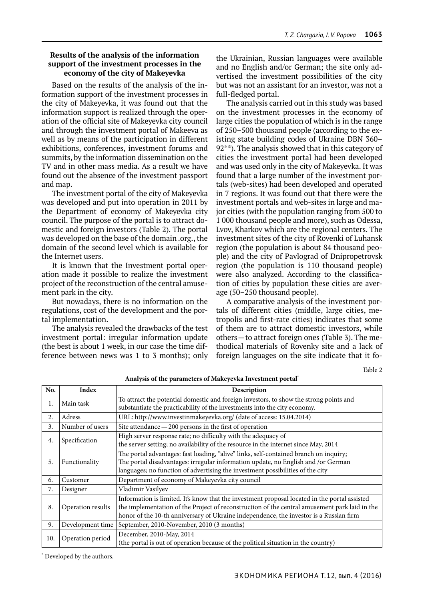## **Results of the analysis of the information support of the investment processes in the economy of the city of Makeyevka**

Based on the results of the analysis of the information support of the investment processes in the city of Makeyevka, it was found out that the information support is realized through the operation of the official site of Makeyevka city council and through the investment portal of Makeeva as well as by means of the participation in different exhibitions, conferences, investment forums and summits, by the information dissemination on the TV and in other mass media. As a result we have found out the absence of the investment passport and map.

The investment portal of the city of Makeyevka was developed and put into operation in 2011 by the Department of economy of Makeyevka city council. The purpose of the portal is to attract domestic and foreign investors (Table 2). The portal was developed on the base of the domain .org., the domain of the second level which is available for the Internet users.

It is known that the Investment portal operation made it possible to realize the investment project of the reconstruction of the central amusement park in the city.

But nowadays, there is no information on the regulations, cost of the development and the portal implementation.

The analysis revealed the drawbacks of the test investment portal: irregular information update (the best is about 1 week, in our case the time difference between news was 1 to 3 months); only the Ukrainian, Russian languages were available and no English and/or German; the site only advertised the investment possibilities of the city but was not an assistant for an investor, was not a full-fledged portal.

The analysis carried out in this study was based on the investment processes in the economy of large cities the population of which is in the range of 250–500 thousand people (according to the existing state building codes of Ukraine DBN 360– 92\*\*). The analysis showed that in this category of cities the investment portal had been developed and was used only in the city of Makeyevka. It was found that a large number of the investment portals (web-sites) had been developed and operated in 7 regions. It was found out that there were the investment portals and web-sites in large and major cities (with the population ranging from 500 to 1 000 thousand people and more), such as Odessa, Lvov, Kharkov which are the regional centers. The investment sites of the city of Rovenki of Luhansk region (the population is about 84 thousand people) and the city of Pavlograd of Dnipropetrovsk region (the population is 110 thousand people) were also analyzed. According to the classification of cities by population these cities are average (50–250 thousand people).

A comparative analysis of the investment portals of different cities (middle, large cities, metropolis and first-rate cities) indicates that some of them are to attract domestic investors, while others—to attract foreign ones (Table 3). The methodical materials of Rovenky site and a lack of foreign languages on the site indicate that it fo-

Table 2

| No. | <b>Index</b>                                                                                                                       | Description                                                                                                                                                                                                                                                                              |  |  |  |  |
|-----|------------------------------------------------------------------------------------------------------------------------------------|------------------------------------------------------------------------------------------------------------------------------------------------------------------------------------------------------------------------------------------------------------------------------------------|--|--|--|--|
| 1.  | Main task                                                                                                                          | To attract the potential domestic and foreign investors, to show the strong points and<br>substantiate the practicability of the investments into the city economy.                                                                                                                      |  |  |  |  |
| 2.  | Adress                                                                                                                             | URL: http://www.investinmakeyevka.org/ (date of access: 15.04.2014)                                                                                                                                                                                                                      |  |  |  |  |
| 3.  | Number of users                                                                                                                    | Site attendance $-200$ persons in the first of operation                                                                                                                                                                                                                                 |  |  |  |  |
| 4.  | Specification                                                                                                                      | High server response rate; no difficulty with the adequacy of<br>the server setting; no availability of the resource in the internet since May, 2014                                                                                                                                     |  |  |  |  |
| 5.  | Functionality                                                                                                                      | The portal advantages: fast loading, "alive" links, self-contained branch on inquiry;<br>The portal disadvantages: irregular information update, no English and /or German<br>languages; no function of advertising the investment possibilities of the city                             |  |  |  |  |
| 6.  | Customer                                                                                                                           | Department of economy of Makeyevka city council                                                                                                                                                                                                                                          |  |  |  |  |
| 7.  | Designer                                                                                                                           | Vladimir Vasilyev                                                                                                                                                                                                                                                                        |  |  |  |  |
| 8.  | Operation results                                                                                                                  | Information is limited. It's know that the investment proposal located in the portal assisted<br>the implementation of the Project of reconstruction of the central amusement park laid in the<br>honor of the 10-th anniversary of Ukraine independence, the investor is a Russian firm |  |  |  |  |
| 9.  | Development time                                                                                                                   | September, 2010-November, 2010 (3 months)                                                                                                                                                                                                                                                |  |  |  |  |
| 10. | December, 2010-May, 2014<br>Operation period<br>(the portal is out of operation because of the political situation in the country) |                                                                                                                                                                                                                                                                                          |  |  |  |  |

**Analysis of the parameters of Makeyevka Investment portal**\*

\* Developed by the authors.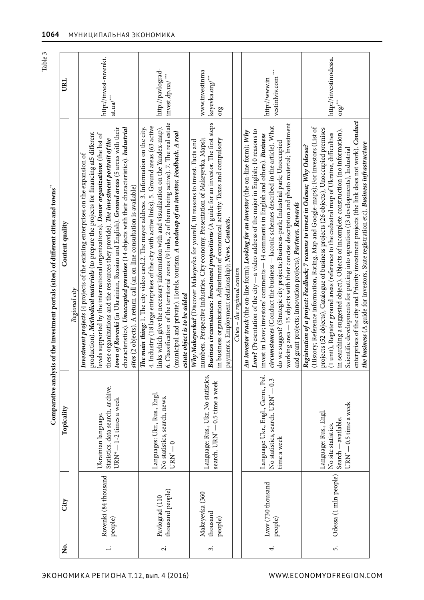|                                                                                       |                          |               | http://ii<br>at.ua/***                                                                                                                                                                                                                                                                                                                                                                                                                                                                                                                                  |
|---------------------------------------------------------------------------------------|--------------------------|---------------|---------------------------------------------------------------------------------------------------------------------------------------------------------------------------------------------------------------------------------------------------------------------------------------------------------------------------------------------------------------------------------------------------------------------------------------------------------------------------------------------------------------------------------------------------------|
| Comparative analysis of the investment portals (sites) of different cities and towns" | Content quality          | Regional city | town of Rovenki (in Ukrainian, Russian and English). Ground areas (5 areas with their<br>characteristics). <i>Unoccupied premises</i> (14 objects with their characteristics). Industrial<br>production). Methodical materials (to prepare the projects for financing at5 different<br>levels supported by the international organizations). Donor organizations (the list of<br>these organizations and the resources they provide). The investment portrait of the<br>Investment projects (4 projects of the existing enterprises on the expansion of |
|                                                                                       | picality<br>$\mathbf{p}$ |               | Statistics, data search, archive.<br>JRN <sup>*</sup> - 1-2 times a week<br>Ukrainian language.                                                                                                                                                                                                                                                                                                                                                                                                                                                         |
|                                                                                       |                          |               | 84 thousand                                                                                                                                                                                                                                                                                                                                                                                                                                                                                                                                             |

| LRL             |               | http://invest-rovenki.<br>http://pavlograd-<br>invest.dp.ua/***<br>at.ua/ $^{\ast\ast\ast}$                                                                                                                                                                                                                                                                                                                                                                                                                                                                                                                                 |                                                                                                                                                                                                                                                                                                                                                                                                                                                                                                               | www.investinma<br>keyevka.org/***<br>org                                                                                                                                                                                                                                                                                                                                                                     |                               | $\stackrel{\star}{\star}$<br>vestinlyiv.com<br>http://www.in                                                                                                                                                                                                                                                                                                                                                                                                                                                                                                                                                        | http://investinodessa.<br>${\rm org}^{\prime\ast\ast}_{\rm QIO}$                                                                                                                                                                                                                                                                                                                                                                                                                                                                                                                                                                                                                                                                     |  |
|-----------------|---------------|-----------------------------------------------------------------------------------------------------------------------------------------------------------------------------------------------------------------------------------------------------------------------------------------------------------------------------------------------------------------------------------------------------------------------------------------------------------------------------------------------------------------------------------------------------------------------------------------------------------------------------|---------------------------------------------------------------------------------------------------------------------------------------------------------------------------------------------------------------------------------------------------------------------------------------------------------------------------------------------------------------------------------------------------------------------------------------------------------------------------------------------------------------|--------------------------------------------------------------------------------------------------------------------------------------------------------------------------------------------------------------------------------------------------------------------------------------------------------------------------------------------------------------------------------------------------------------|-------------------------------|---------------------------------------------------------------------------------------------------------------------------------------------------------------------------------------------------------------------------------------------------------------------------------------------------------------------------------------------------------------------------------------------------------------------------------------------------------------------------------------------------------------------------------------------------------------------------------------------------------------------|--------------------------------------------------------------------------------------------------------------------------------------------------------------------------------------------------------------------------------------------------------------------------------------------------------------------------------------------------------------------------------------------------------------------------------------------------------------------------------------------------------------------------------------------------------------------------------------------------------------------------------------------------------------------------------------------------------------------------------------|--|
| Content quality | Regional city | town of Rovenki (in Ukrainian, Russian and English). Ground areas (5 areas with their<br>characteristics). Unoccupied premises (14 objects with their characteristics). Industrial<br>production). Methodical materials (to prepare the projects for financing at5 different<br>levels supported by the international organizations). Donor organizations (the list of<br>these organizations and the resources they provide). The investment portrait of the<br>Investment projects (4 projects of the existing enterprises on the expansion of<br>sites (2 objects). A return call (an on-line consultation is available) | 6. Classification of the territorial zones (9 links, 2 of them being active). 7. The real estate<br>4. Industry (18 large enterprises of the city with active links). 5. Ground areas (63 active<br>The main thing: 1. The city video card.2. The mayor address. 3. Information on the city.<br>links which give the necessary information with and visualization on the Yandex-map).<br>(municipal and private). Hotels, tourism. A roadmap of an investor. Feedback. A real<br>estate object is to be added | Business circumstances: Investment propositions (A guide for an investor. The first steps<br>numbers. Perspective industries. City economy. Presentation of Makeyevka. Maps);<br>in business organization. Adjustment of economical activity. Taxes and compulsory<br>Why Makeyevka? (Discover Makeyevka for yourelf, 10 reasons to invest. Facts and<br>payments. Employment relationship); News. Contacts. | Cities – the regional centers | working area -- 15 objects with their concise description and photo material; Investment<br>circumstances (Conduct the business - laconic schemes described in the article). What<br>Lvov? (Presentation of the city -- a video address of the major in English; 10 reasons to<br>An investor track (the on-line form); Looking for an investor (the on-line form); Why<br>invest in Lvov; investors' comments - 14 comments in English and others). Business<br>do we suggest? (Strategic city projects; Business-park; Industrial park; Unoccupied<br>and grant projects; Innovation projects). Partners. Rewards | enterprises of the city and Priority investment projects (the link does not work). Conduct<br>(History; Reference information, Rating, Map and Google-maps); For investors (List of<br>projects (52 objects), Catalogue of business projects (26 objects), Unoccupied premises<br>in searching a suggested object), Objects of incomplete construction (no information),<br>(1 unit), Register ground areas (reference to the cadastral map of Ukraine, difficulties<br>the business (A guide for investors, State registration etc). Business infrastructure<br>Registration of a project: Feedback; 7 reasons to invest in Odessa; Why Odessa?<br>Scientific developments for putting into operation ((3 developments), Industrial |  |
| Topicality      |               | Statistics, data search, archive.<br>URN <sup>*</sup> - 1-2 times a week<br>Ukrainian language.                                                                                                                                                                                                                                                                                                                                                                                                                                                                                                                             | Languages: Ukr., Rus., Engl.<br>No statistics, search, news.<br>$URN^* - 0$                                                                                                                                                                                                                                                                                                                                                                                                                                   | Language: Rus., Ukr. No statistics,<br>search. URN <sup>*</sup> - 0.5 time a week                                                                                                                                                                                                                                                                                                                            |                               | Language: Ukr., Engl., Germ., Pol.<br>No statistics, search. URN <sup>*</sup> - 0.3<br>time a week                                                                                                                                                                                                                                                                                                                                                                                                                                                                                                                  | URN <sup>*</sup> - 0.5 time a week<br>Language: Rus., Engl.<br>Search - available.<br>No site statistics.                                                                                                                                                                                                                                                                                                                                                                                                                                                                                                                                                                                                                            |  |
| City            |               | Rovenki (84 thousand<br>people)                                                                                                                                                                                                                                                                                                                                                                                                                                                                                                                                                                                             | thousand people)<br>Pavlograd (110                                                                                                                                                                                                                                                                                                                                                                                                                                                                            | Makeyevka (360<br>thousand<br>people)                                                                                                                                                                                                                                                                                                                                                                        |                               | Lvov (730 thousand<br>people)                                                                                                                                                                                                                                                                                                                                                                                                                                                                                                                                                                                       | Odessa (1 mln people)                                                                                                                                                                                                                                                                                                                                                                                                                                                                                                                                                                                                                                                                                                                |  |
| ż.              |               | $\div$                                                                                                                                                                                                                                                                                                                                                                                                                                                                                                                                                                                                                      | $\overline{\mathcal{N}}$                                                                                                                                                                                                                                                                                                                                                                                                                                                                                      | 3.                                                                                                                                                                                                                                                                                                                                                                                                           |                               | 4.                                                                                                                                                                                                                                                                                                                                                                                                                                                                                                                                                                                                                  | 5.                                                                                                                                                                                                                                                                                                                                                                                                                                                                                                                                                                                                                                                                                                                                   |  |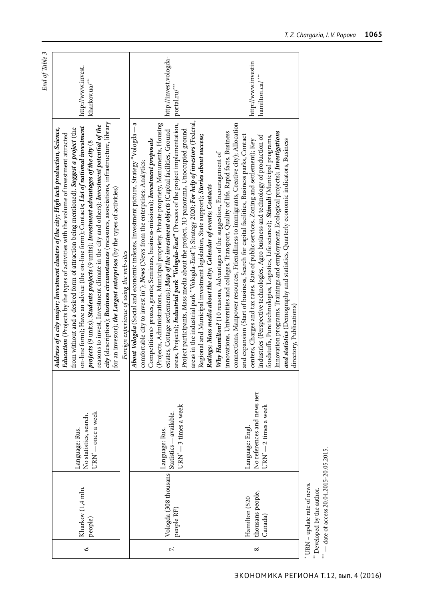| End of Table 3 | http://www.invest.<br>kharkov.ua/"                                                                                                                                                                                                                                                                                                                                                                                                                                                                                                                                                                                                                                                                                                      |                                           | http://invest.vologda-<br>portal.ru/**                                                                                                                                                                                                                                                                                                                                                                                                                                                                                                                                                                                                                                                                                                                                                                                                                                                           | http://www.investin<br>hamilton.ca/ <sup>***</sup>                                                                                                                                                                                                                                                                                                                                                                                                                                                                                                                                                                                                                                                                                                                                                                                             |
|----------------|-----------------------------------------------------------------------------------------------------------------------------------------------------------------------------------------------------------------------------------------------------------------------------------------------------------------------------------------------------------------------------------------------------------------------------------------------------------------------------------------------------------------------------------------------------------------------------------------------------------------------------------------------------------------------------------------------------------------------------------------|-------------------------------------------|--------------------------------------------------------------------------------------------------------------------------------------------------------------------------------------------------------------------------------------------------------------------------------------------------------------------------------------------------------------------------------------------------------------------------------------------------------------------------------------------------------------------------------------------------------------------------------------------------------------------------------------------------------------------------------------------------------------------------------------------------------------------------------------------------------------------------------------------------------------------------------------------------|------------------------------------------------------------------------------------------------------------------------------------------------------------------------------------------------------------------------------------------------------------------------------------------------------------------------------------------------------------------------------------------------------------------------------------------------------------------------------------------------------------------------------------------------------------------------------------------------------------------------------------------------------------------------------------------------------------------------------------------------------------------------------------------------------------------------------------------------|
|                | city (description); Business circumstances (measures, associations, infrastructure, library<br>reasons to invest, Investment climate in the city and others); Investment potential of the<br>on-line form); Have an advice (the on-line form); Contacts; List of national investment<br>Address of a city major; Investment clusters of the city; High tech production, Science,<br>from without and a desired form of attraction being mentioned). Suggest a project (the<br>Education (Projects by the types of activities with the volume of investment attracted<br>projects (9 units); Students projects (9 units); Investment advantages of the city (8<br>for an investor); the Largest enterprises (by the types of activities) | Foreign experience of using the web-sites | areas in the industrial park "Vologda-East"); Strategy 2020; For help of investors (Federal,<br>a<br>(Projects, Administrations, Municipal propriety, Private propriety, Monuments, Housing<br>areas, Projects); Industrial park "Vologda-East" (Process of the project implementation,<br>About Vologda (Social and economic indexes, Investment picture, Strategy "Vologda-<br>Project participants, Mass media about the project, 3D panorama, Unoccupied ground<br>estates, Cottage settlements); Map of the investment objects (Capital facilities, Ground<br>Regional and Municipal investment legislation, State support); Stories about success;<br>Competitions> prozes, grants; Seminars, business-missions); Investment proposals<br>comfortable city to invest in"); News (News from the enterprises; Analytics;<br>Ratings; Mass media about the city; Calendar of events; Contacts | connections, Manpower resources, Friendliness to immigrants, Creative city); Allocation<br>Innovation programs, Trainings and employment, Ecological projects); Investigations<br>innovations, Universities and colleges, Transport, Quality of life, Rapid facts, Business<br>and expansion (Start of business, Search for capital facilities, Business parks, Contact<br>industries (Perspective technologies, Agro business and technology of production of<br>foodstuffs, Pure technologies, Logistics, Life science); Stimuli (Municipal programs,<br>and statistics (Demography and statistics, Quarterly economic indicators, Business<br>centers, Charges and tax rates, Rate of public services, Zoning and settlement); Key<br>Why Hamilton? (10 reasons, Advantages of the suggestion, Encouragement of<br>directory, Publications) |
|                | URN' - once a week<br>No statistics, search.<br>Language: Rus.                                                                                                                                                                                                                                                                                                                                                                                                                                                                                                                                                                                                                                                                          |                                           | URN" - 3 times a week<br>Statistics-available.<br>Language: Rus.                                                                                                                                                                                                                                                                                                                                                                                                                                                                                                                                                                                                                                                                                                                                                                                                                                 | No references and news Her<br>URN' - 2 times a week<br>Language: Engl.                                                                                                                                                                                                                                                                                                                                                                                                                                                                                                                                                                                                                                                                                                                                                                         |
|                | Kharkov (1,4 mln.<br>people)                                                                                                                                                                                                                                                                                                                                                                                                                                                                                                                                                                                                                                                                                                            |                                           | Vologda (308 thousans<br>people RF)                                                                                                                                                                                                                                                                                                                                                                                                                                                                                                                                                                                                                                                                                                                                                                                                                                                              | thousans people,<br>Hamilton (520<br>Canada)                                                                                                                                                                                                                                                                                                                                                                                                                                                                                                                                                                                                                                                                                                                                                                                                   |
|                | $\acute{\circ}$                                                                                                                                                                                                                                                                                                                                                                                                                                                                                                                                                                                                                                                                                                                         |                                           | $\ddot{\sim}$                                                                                                                                                                                                                                                                                                                                                                                                                                                                                                                                                                                                                                                                                                                                                                                                                                                                                    | $\infty$                                                                                                                                                                                                                                                                                                                                                                                                                                                                                                                                                                                                                                                                                                                                                                                                                                       |

\* URN – update rate of news.

 $^\circ$  URN – update rate of news.<br>  $^{^{**}}$  Developed by the author.<br>  $^{^{**}}$  — date of access 20.04.2015-20.05.2015.  $*$   $-$  date of access 20.04.2015-20.05.2015. \*\* Developed by the author.

ЭКОНОМИКА РЕГИОНА Т.12, вып. 4 (2016)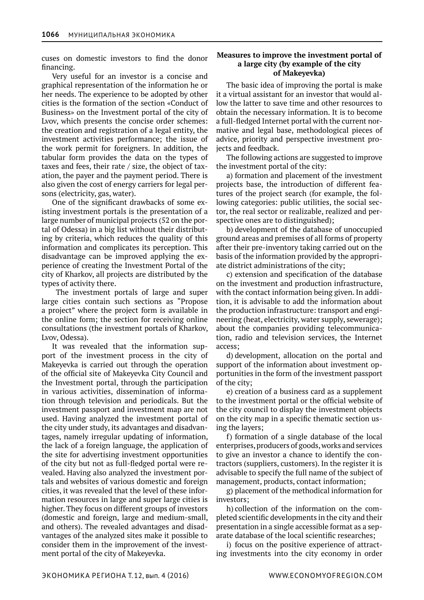cuses on domestic investors to find the donor financing.

Very useful for an investor is a concise and graphical representation of the information he or her needs. The experience to be adopted by other cities is the formation of the section «Conduct of Business» on the Investment portal of the city of Lvov, which presents the concise order schemes: the creation and registration of a legal entity, the investment activities performance; the issue of the work permit for foreigners. In addition, the tabular form provides the data on the types of taxes and fees, their rate / size, the object of taxation, the payer and the payment period. There is also given the cost of energy carriers for legal persons (electricity, gas, water).

One of the significant drawbacks of some existing investment portals is the presentation of a large number of municipal projects (52 on the portal of Odessa) in a big list without their distributing by criteria, which reduces the quality of this information and complicates its perception. This disadvantage can be improved applying the experience of creating the Investment Portal of the city of Kharkov, all projects are distributed by the types of activity there.

 The investment portals of large and super large cities contain such sections as "Propose a project" where the project form is available in the online form; the section for receiving online consultations (the investment portals of Kharkov, Lvov, Odessa).

It was revealed that the information support of the investment process in the city of Makeyevka is carried out through the operation of the official site of Makeyevka City Council and the Investment portal, through the participation in various activities, dissemination of information through television and periodicals. But the investment passport and investment map are not used. Having analyzed the investment portal of the city under study, its advantages and disadvantages, namely irregular updating of information, the lack of a foreign language, the application of the site for advertising investment opportunities of the city but not as full-fledged portal were revealed. Having also analyzed the investment portals and websites of various domestic and foreign cities, it was revealed that the level of these information resources in large and super large cities is higher. They focus on different groups of investors (domestic and foreign, large and medium-small, and others). The revealed advantages and disadvantages of the analyzed sites make it possible to consider them in the improvement of the investment portal of the city of Makeyevka.

## **Measures to improve the investment portal of a large city (by example of the city of Makeyevka)**

The basic idea of improving the portal is make it a virtual assistant for an investor that would allow the latter to save time and other resources to obtain the necessary information. It is to become a full-fledged Internet portal with the current normative and legal base, methodological pieces of advice, priority and perspective investment projects and feedback.

The following actions are suggested to improve the investment portal of the city:

а) formation and placement of the investment projects base, the introduction of different features of the project search (for example, the following categories: public utilities, the social sector, the real sector or realizable, realized and perspective ones are to distinguished);

b) development of the database of unoccupied ground areas and premises of all forms of property after their pre-inventory taking carried out on the basis of the information provided by the appropriate district administrations of the city;

c) extension and specification of the database on the investment and production infrastructure, with the contact information being given. In addition, it is advisable to add the information about the production infrastructure: transport and engineering (heat, electricity, water supply, sewerage); about the companies providing telecommunication, radio and television services, the Internet access;

d) development, allocation on the portal and support of the information about investment opportunities in the form of the investment passport of the city;

e) creation of a business card as a supplement to the investment portal or the official website of the city council to display the investment objects on the city map in a specific thematic section using the layers;

f) formation of a single database of the local enterprises, producers of goods, works and services to give an investor a chance to identify the contractors (suppliers, customers). In the register it is advisable to specify the full name of the subject of management, products, contact information;

g) placement of the methodical information for investors;

h) collection of the information on the completed scientific developments in the city and their presentation in a single accessible format as a separate database of the local scientific researches;

i) focus on the positive experience of attracting investments into the city economy in order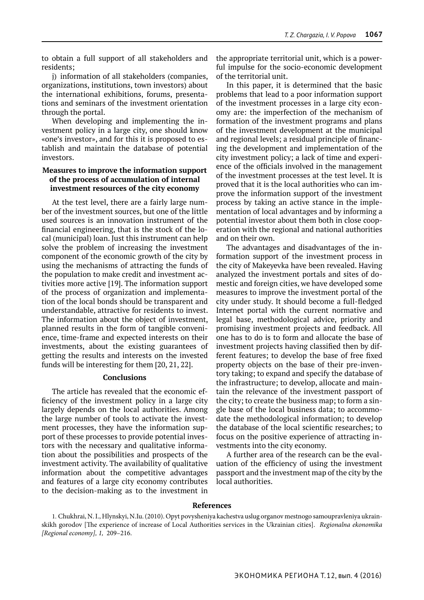to obtain a full support of all stakeholders and residents;

j) information of all stakeholders (companies, organizations, institutions, town investors) about the international exhibitions, forums, presentations and seminars of the investment orientation through the portal.

When developing and implementing the investment policy in a large city, one should know «one's investor», and for this it is proposed to establish and maintain the database of potential investors.

## **Measures to improve the information support of the process of accumulation of internal investment resources of the city economy**

At the test level, there are a fairly large number of the investment sources, but one of the little used sources is an innovation instrument of the financial engineering, that is the stock of the local (municipal) loan. Just this instrument can help solve the problem of increasing the investment component of the economic growth of the city by using the mechanisms of attracting the funds of the population to make credit and investment activities more active [19]. The information support of the process of organization and implementation of the local bonds should be transparent and understandable, attractive for residents to invest. The information about the object of investment, planned results in the form of tangible convenience, time-frame and expected interests on their investments, about the existing guarantees of getting the results and interests on the invested funds will be interesting for them [20, 21, 22].

### **Conclusions**

The article has revealed that the economic efficiency of the investment policy in a large city largely depends on the local authorities. Among the large number of tools to activate the investment processes, they have the information support of these processes to provide potential investors with the necessary and qualitative information about the possibilities and prospects of the investment activity. The availability of qualitative information about the competitive advantages and features of a large city economy contributes to the decision-making as to the investment in

the appropriate territorial unit, which is a powerful impulse for the socio-economic development of the territorial unit.

In this paper, it is determined that the basic problems that lead to a poor information support of the investment processes in a large city economy are: the imperfection of the mechanism of formation of the investment programs and plans of the investment development at the municipal and regional levels; a residual principle of financing the development and implementation of the city investment policy; a lack of time and experience of the officials involved in the management of the investment processes at the test level. It is proved that it is the local authorities who can improve the information support of the investment process by taking an active stance in the implementation of local advantages and by informing a potential investor about them both in close cooperation with the regional and national authorities and on their own.

The advantages and disadvantages of the information support of the investment process in the city of Makeyevka have been revealed. Having analyzed the investment portals and sites of domestic and foreign cities, we have developed some measures to improve the investment portal of the city under study. It should become a full-fledged Internet portal with the current normative and legal base, methodological advice, priority and promising investment projects and feedback. All one has to do is to form and allocate the base of investment projects having classified then by different features; to develop the base of free fixed property objects on the base of their pre-inventory taking; to expand and specify the database of the infrastructure; to develop, allocate and maintain the relevance of the investment passport of the city; to create the business map; to form a single base of the local business data; to accommodate the methodological information; to develop the database of the local scientific researches; to focus on the positive experience of attracting investments into the city economy.

A further area of the research can be the evaluation of the efficiency of using the investment passport and the investment map of the city by the local authorities.

#### **References**

1. Chukhrai, N. I., Hlynskyi, N.Iu. (2010). Opyt povysheniya kachestva uslug organov mestnogo samoupravleniya ukrainskikh gorodov [The experience of increase of Local Authorities services in the Ukrainian cities].  *Regionalna ekonomika [Regional economy], 1,*  209–216.